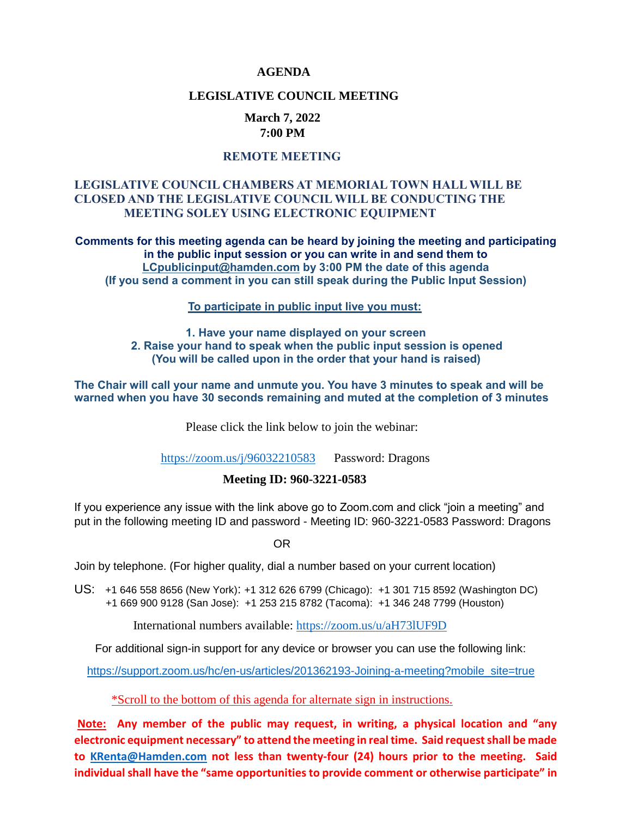#### **AGENDA**

#### **LEGISLATIVE COUNCIL MEETING**

#### **March 7, 2022 7:00 PM**

#### **REMOTE MEETING**

#### **LEGISLATIVE COUNCIL CHAMBERS AT MEMORIAL TOWN HALL WILL BE CLOSED AND THE LEGISLATIVE COUNCIL WILL BE CONDUCTING THE MEETING SOLEY USING ELECTRONIC EQUIPMENT**

**Comments for this meeting agenda can be heard by joining the meeting and participating in the public input session or you can write in and send them to [LCpublicinput@hamden.com](mailto:LCpublicinput@hamden.com) by 3:00 PM the date of this agenda (If you send a comment in you can still speak during the Public Input Session)**

 **To participate in public input live you must:** 

#### **1. Have your name displayed on your screen 2. Raise your hand to speak when the public input session is opened (You will be called upon in the order that your hand is raised)**

**The Chair will call your name and unmute you. You have 3 minutes to speak and will be warned when you have 30 seconds remaining and muted at the completion of 3 minutes**

Please click the link below to join the webinar:

<https://zoom.us/j/96032210583>Password: Dragons

#### **Meeting ID: 960-3221-0583**

If you experience any issue with the link above go to Zoom.com and click "join a meeting" and put in the following meeting ID and password - Meeting ID: 960-3221-0583 Password: Dragons

OR

Join by telephone. (For higher quality, dial a number based on your current location)

US: [+1 646 558 8656 \(New York\)](tel:+16465588656): [+1 312 626 6799 \(Chicago\):](tel:+13126266799) [+1 301 715 8592 \(Washington DC\)](tel:+13017158592) +1 669 900 9128 (San Jose): [+1 253 215 8782 \(Tacoma\):](tel:+12532158782) [+1 346 248 7799 \(Houston\)](tel:+13462487799)

International numbers available:<https://zoom.us/u/aH73lUF9D>

For additional sign-in support for any device or browser you can use the following link:

[https://support.zoom.us/hc/en-us/articles/201362193-Joining-a-meeting?mobile\\_site=true](https://support.zoom.us/hc/en-us/articles/201362193-Joining-a-meeting?mobile_site=true)

\*Scroll to the bottom of this agenda for alternate sign in instructions.

**Note: Any member of the public may request, in writing, a physical location and "any electronic equipment necessary" to attend the meeting in real time. Said request shall be made to [KRenta@Hamden.com](mailto:KRenta@Hamden.com) not less than twenty-four (24) hours prior to the meeting. Said individual shall have the "same opportunities to provide comment or otherwise participate" in**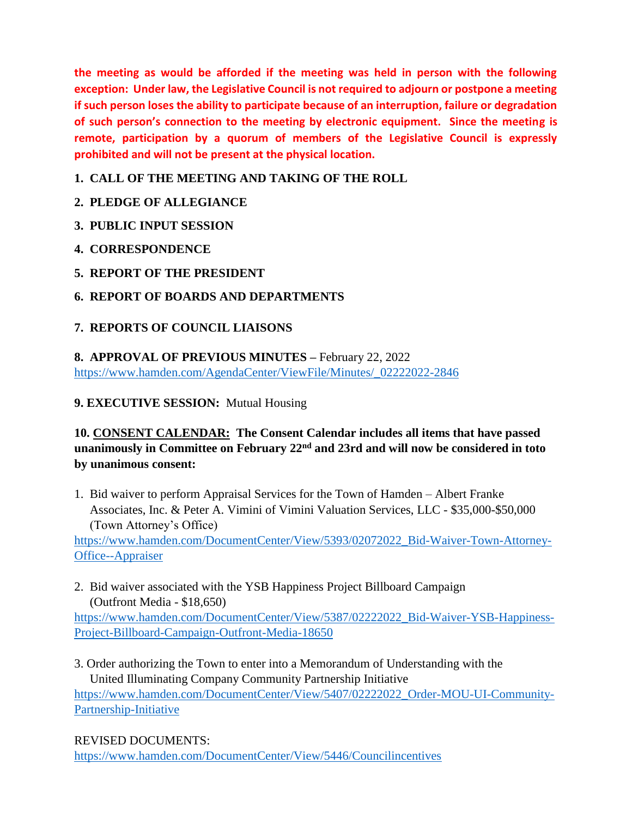**the meeting as would be afforded if the meeting was held in person with the following exception: Under law, the Legislative Council is not required to adjourn or postpone a meeting if such person loses the ability to participate because of an interruption, failure or degradation of such person's connection to the meeting by electronic equipment. Since the meeting is remote, participation by a quorum of members of the Legislative Council is expressly prohibited and will not be present at the physical location.**

## **1. CALL OF THE MEETING AND TAKING OF THE ROLL**

## **2. PLEDGE OF ALLEGIANCE**

- **3. PUBLIC INPUT SESSION**
- **4. CORRESPONDENCE**
- **5. REPORT OF THE PRESIDENT**
- **6. REPORT OF BOARDS AND DEPARTMENTS**

## **7. REPORTS OF COUNCIL LIAISONS**

**8. APPROVAL OF PREVIOUS MINUTES –** February 22, 2022 [https://www.hamden.com/AgendaCenter/ViewFile/Minutes/\\_02222022-2846](https://www.hamden.com/AgendaCenter/ViewFile/Minutes/_02222022-2846)

## **9. EXECUTIVE SESSION:** Mutual Housing

## **10. CONSENT CALENDAR: The Consent Calendar includes all items that have passed unanimously in Committee on February 22nd and 23rd and will now be considered in toto by unanimous consent:**

1. Bid waiver to perform Appraisal Services for the Town of Hamden – Albert Franke Associates, Inc. & Peter A. Vimini of Vimini Valuation Services, LLC - \$35,000-\$50,000 (Town Attorney's Office)

[https://www.hamden.com/DocumentCenter/View/5393/02072022\\_Bid-Waiver-Town-Attorney-](https://www.hamden.com/DocumentCenter/View/5393/02072022_Bid-Waiver-Town-Attorney-Office--Appraiser)[Office--Appraiser](https://www.hamden.com/DocumentCenter/View/5393/02072022_Bid-Waiver-Town-Attorney-Office--Appraiser)

2. Bid waiver associated with the YSB Happiness Project Billboard Campaign (Outfront Media - \$18,650)

[https://www.hamden.com/DocumentCenter/View/5387/02222022\\_Bid-Waiver-YSB-Happiness-](https://www.hamden.com/DocumentCenter/View/5387/02222022_Bid-Waiver-YSB-Happiness-Project-Billboard-Campaign-Outfront-Media-18650)[Project-Billboard-Campaign-Outfront-Media-18650](https://www.hamden.com/DocumentCenter/View/5387/02222022_Bid-Waiver-YSB-Happiness-Project-Billboard-Campaign-Outfront-Media-18650)

3. Order authorizing the Town to enter into a Memorandum of Understanding with the United Illuminating Company Community Partnership Initiative

[https://www.hamden.com/DocumentCenter/View/5407/02222022\\_Order-MOU-UI-Community-](https://www.hamden.com/DocumentCenter/View/5407/02222022_Order-MOU-UI-Community-Partnership-Initiative)[Partnership-Initiative](https://www.hamden.com/DocumentCenter/View/5407/02222022_Order-MOU-UI-Community-Partnership-Initiative)

## REVISED DOCUMENTS:

<https://www.hamden.com/DocumentCenter/View/5446/Councilincentives>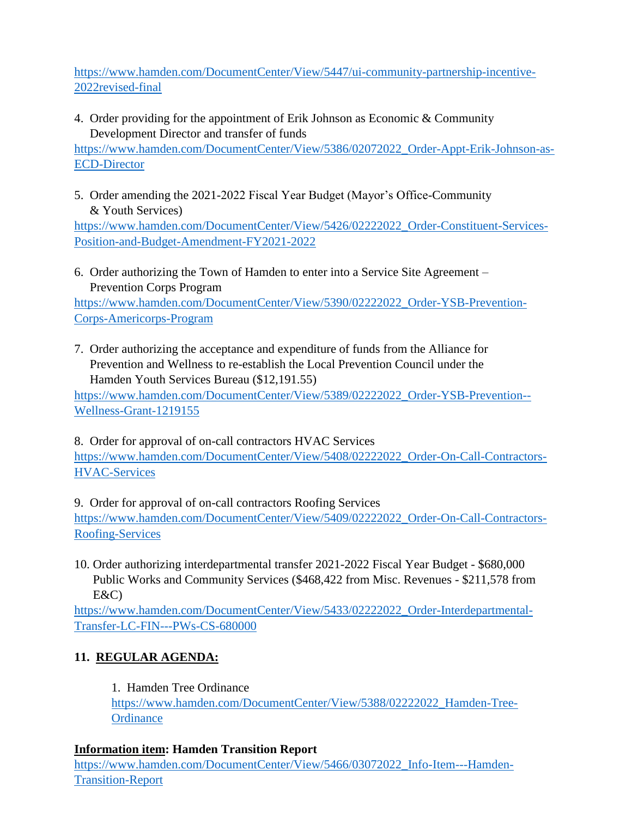[https://www.hamden.com/DocumentCenter/View/5447/ui-community-partnership-incentive-](https://www.hamden.com/DocumentCenter/View/5447/ui-community-partnership-incentive-2022revised-final)[2022revised-final](https://www.hamden.com/DocumentCenter/View/5447/ui-community-partnership-incentive-2022revised-final)

4. Order providing for the appointment of Erik Johnson as Economic & Community Development Director and transfer of funds

[https://www.hamden.com/DocumentCenter/View/5386/02072022\\_Order-Appt-Erik-Johnson-as-](https://www.hamden.com/DocumentCenter/View/5386/02072022_Order-Appt-Erik-Johnson-as-ECD-Director)[ECD-Director](https://www.hamden.com/DocumentCenter/View/5386/02072022_Order-Appt-Erik-Johnson-as-ECD-Director)

5. Order amending the 2021-2022 Fiscal Year Budget (Mayor's Office-Community & Youth Services)

[https://www.hamden.com/DocumentCenter/View/5426/02222022\\_Order-Constituent-Services-](https://www.hamden.com/DocumentCenter/View/5426/02222022_Order-Constituent-Services-Position-and-Budget-Amendment-FY2021-2022)[Position-and-Budget-Amendment-FY2021-2022](https://www.hamden.com/DocumentCenter/View/5426/02222022_Order-Constituent-Services-Position-and-Budget-Amendment-FY2021-2022)

6. Order authorizing the Town of Hamden to enter into a Service Site Agreement – Prevention Corps Program

[https://www.hamden.com/DocumentCenter/View/5390/02222022\\_Order-YSB-Prevention-](https://www.hamden.com/DocumentCenter/View/5390/02222022_Order-YSB-Prevention-Corps-Americorps-Program)[Corps-Americorps-Program](https://www.hamden.com/DocumentCenter/View/5390/02222022_Order-YSB-Prevention-Corps-Americorps-Program)

7. Order authorizing the acceptance and expenditure of funds from the Alliance for Prevention and Wellness to re-establish the Local Prevention Council under the Hamden Youth Services Bureau (\$12,191.55)

[https://www.hamden.com/DocumentCenter/View/5389/02222022\\_Order-YSB-Prevention--](https://www.hamden.com/DocumentCenter/View/5389/02222022_Order-YSB-Prevention--Wellness-Grant-1219155) [Wellness-Grant-1219155](https://www.hamden.com/DocumentCenter/View/5389/02222022_Order-YSB-Prevention--Wellness-Grant-1219155)

8. Order for approval of on-call contractors HVAC Services [https://www.hamden.com/DocumentCenter/View/5408/02222022\\_Order-On-Call-Contractors-](https://www.hamden.com/DocumentCenter/View/5408/02222022_Order-On-Call-Contractors-HVAC-Services)[HVAC-Services](https://www.hamden.com/DocumentCenter/View/5408/02222022_Order-On-Call-Contractors-HVAC-Services)

9. Order for approval of on-call contractors Roofing Services [https://www.hamden.com/DocumentCenter/View/5409/02222022\\_Order-On-Call-Contractors-](https://www.hamden.com/DocumentCenter/View/5409/02222022_Order-On-Call-Contractors-Roofing-Services)[Roofing-Services](https://www.hamden.com/DocumentCenter/View/5409/02222022_Order-On-Call-Contractors-Roofing-Services)

10. Order authorizing interdepartmental transfer 2021-2022 Fiscal Year Budget - \$680,000 Public Works and Community Services (\$468,422 from Misc. Revenues - \$211,578 from E&C)

[https://www.hamden.com/DocumentCenter/View/5433/02222022\\_Order-Interdepartmental-](https://www.hamden.com/DocumentCenter/View/5433/02222022_Order-Interdepartmental-Transfer-LC-FIN---PWs-CS-680000)[Transfer-LC-FIN---PWs-CS-680000](https://www.hamden.com/DocumentCenter/View/5433/02222022_Order-Interdepartmental-Transfer-LC-FIN---PWs-CS-680000)

# **11. REGULAR AGENDA:**

1. Hamden Tree Ordinance

[https://www.hamden.com/DocumentCenter/View/5388/02222022\\_Hamden-Tree-](https://www.hamden.com/DocumentCenter/View/5388/02222022_Hamden-Tree-Ordinance)**[Ordinance](https://www.hamden.com/DocumentCenter/View/5388/02222022_Hamden-Tree-Ordinance)** 

# **Information item: Hamden Transition Report**

[https://www.hamden.com/DocumentCenter/View/5466/03072022\\_Info-Item---Hamden-](https://www.hamden.com/DocumentCenter/View/5466/03072022_Info-Item---Hamden-%20%20%20%20%20%20%20Transition-Report)[Transition-Report](https://www.hamden.com/DocumentCenter/View/5466/03072022_Info-Item---Hamden-%20%20%20%20%20%20%20Transition-Report)